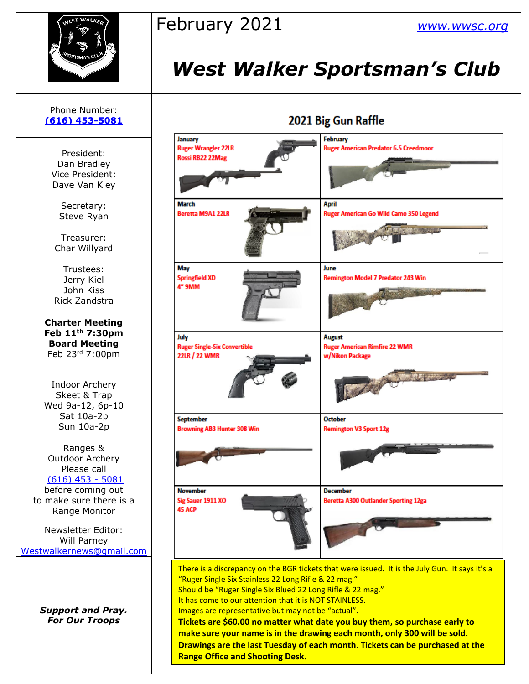

# February 2021 *[www.wwsc.org](http://www.wwsc.org/)*

# *West Walker Sportsman's Club*

2021 Rig Gun Raffle

## Phone Number: **[\(616\) 453-5081](https://d.docs.live.net/100b2af0d7ad2324/Documents/wwsc%20newsletters%202019/docx/616)%20453-5081)** President: Dan Bradley Vice President: Dave Van Kley Secretary: Steve Ryan Treasurer: Char Willyard Trustees: Jerry Kiel John Kiss Rick Zandstra **Charter Meeting Feb 11th 7:30pm Board Meeting** Feb 23rd 7:00pm Indoor Archery Skeet & Trap Wed 9a-12, 6p-10 Sat 10a-2p Sun 10a-2p Ranges & Outdoor Archery Please call [\(616\) 453 -](https://d.docs.live.net/100b2af0d7ad2324/Documents/wwsc%20newsletters%202019/docx/616)%20453-5081) 5081 before coming out to make sure there is a Range Monitor Newsletter Editor: Will Parney [Westwalkernews@gmail.com](mailto:Westwalkernews@gmail.com) *Support and Pray. For Our Troops*

| coca pig oun nume                                                                                                                                                                                                                                                                                                                                                                                                                                                                                                                                                              |                                                                          |  |  |  |  |
|--------------------------------------------------------------------------------------------------------------------------------------------------------------------------------------------------------------------------------------------------------------------------------------------------------------------------------------------------------------------------------------------------------------------------------------------------------------------------------------------------------------------------------------------------------------------------------|--------------------------------------------------------------------------|--|--|--|--|
| January<br><b>Ruger Wrangler 22LR</b><br>Rossi RB22 22Mag                                                                                                                                                                                                                                                                                                                                                                                                                                                                                                                      | February<br><b>Ruger American Predator 6.5 Creedmoor</b>                 |  |  |  |  |
| March<br>Beretta M9A1 22LR                                                                                                                                                                                                                                                                                                                                                                                                                                                                                                                                                     | April<br>Ruger American Go Wild Camo 350 Legend                          |  |  |  |  |
| May<br><b>Springfield XD</b><br>4" 9MM                                                                                                                                                                                                                                                                                                                                                                                                                                                                                                                                         | June<br><b>Remington Model 7 Predator 243 Win</b>                        |  |  |  |  |
| July<br><b>Ruger Single-Six Convertible</b><br>22LR / 22 WMR                                                                                                                                                                                                                                                                                                                                                                                                                                                                                                                   | <b>August</b><br><b>Ruger American Rimfire 22 WMR</b><br>w/Nikon Package |  |  |  |  |
| <b>September</b><br><b>Browning AB3 Hunter 308 Win</b>                                                                                                                                                                                                                                                                                                                                                                                                                                                                                                                         | <b>October</b><br><b>Remington V3 Sport 12g</b>                          |  |  |  |  |
| <b>November</b><br>Sig Sauer 1911 XO<br>45 ACP                                                                                                                                                                                                                                                                                                                                                                                                                                                                                                                                 | <b>December</b><br><b>Beretta A300 Outlander Sporting 12ga</b>           |  |  |  |  |
| There is a discrepancy on the BGR tickets that were issued. It is the July Gun. It says it's a<br>"Ruger Single Six Stainless 22 Long Rifle & 22 mag."<br>Should be "Ruger Single Six Blued 22 Long Rifle & 22 mag."<br>It has come to our attention that it is NOT STAINLESS.<br>Images are representative but may not be "actual".<br>Tickets are \$60.00 no matter what date you buy them, so purchase early to<br>make sure your name is in the drawing each month, only 300 will be sold.<br>Drawings are the last Tuesday of each month. Tickets can be purchased at the |                                                                          |  |  |  |  |

**Range Office and Shooting Desk.**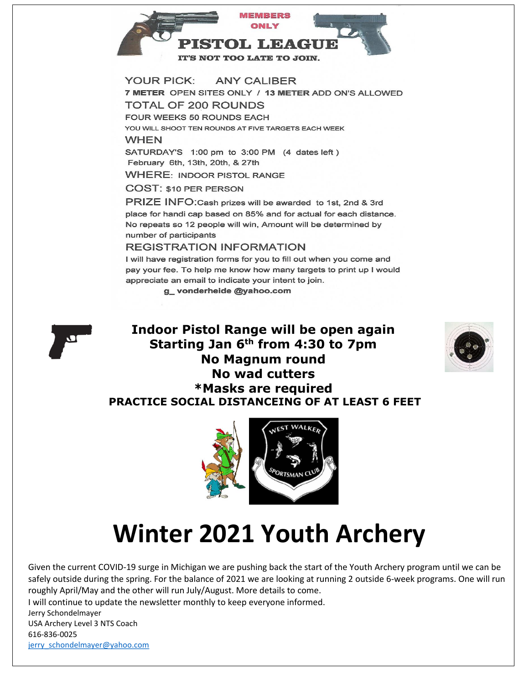

7 METER OPEN SITES ONLY / 13 METER ADD ON'S ALLOWED **TOTAL OF 200 ROUNDS** FOUR WEEKS 50 ROUNDS EACH YOU WILL SHOOT TEN ROUNDS AT FIVE TARGETS EACH WEEK

#### **WHEN**

SATURDAY'S 1:00 pm to 3:00 PM (4 dates left) February 6th, 13th, 20th, & 27th

**WHERE: INDOOR PISTOL RANGE** 

**COST: \$10 PER PERSON** 

PRIZE INFO: Cash prizes will be awarded to 1st, 2nd & 3rd place for handi cap based on 85% and for actual for each distance. No repeats so 12 people will win, Amount will be determined by number of participants

#### **REGISTRATION INFORMATION**

I will have registration forms for you to fill out when you come and pay your fee. To help me know how many targets to print up I would appreciate an email to indicate your intent to join.

g\_vonderheide@yahoo.com



### **Indoor Pistol Range will be open again Starting Jan 6th from 4:30 to 7pm No Magnum round No wad cutters \*Masks are required PRACTICE SOCIAL DISTANCEING OF AT LEAST 6 FEET**





# **Winter 2021 Youth Archery**

Given the current COVID-19 surge in Michigan we are pushing back the start of the Youth Archery program until we can be safely outside during the spring. For the balance of 2021 we are looking at running 2 outside 6-week programs. One will run roughly April/May and the other will run July/August. More details to come.

I will continue to update the newsletter monthly to keep everyone informed.

Jerry Schondelmayer USA Archery Level 3 NTS Coach

616-836-0025 jerry\_schondelmayer@yahoo.com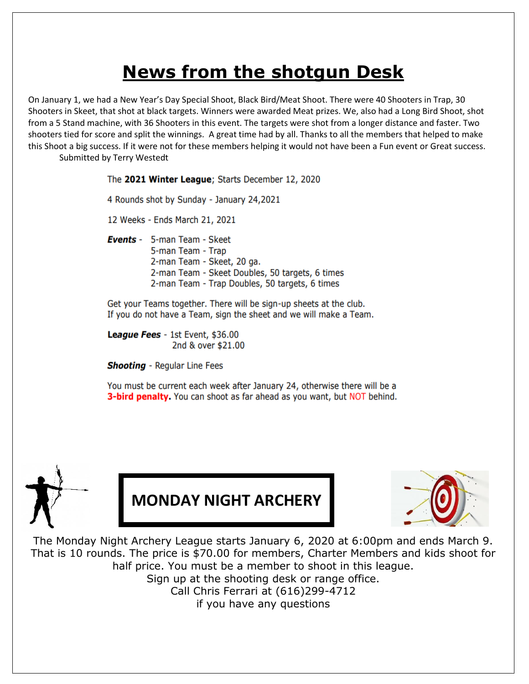# **News from the shotgun Desk**

On January 1, we had a New Year's Day Special Shoot, Black Bird/Meat Shoot. There were 40 Shooters in Trap, 30 Shooters in Skeet, that shot at black targets. Winners were awarded Meat prizes. We, also had a Long Bird Shoot, shot from a 5 Stand machine, with 36 Shooters in this event. The targets were shot from a longer distance and faster. Two shooters tied for score and split the winnings. A great time had by all. Thanks to all the members that helped to make this Shoot a big success. If it were not for these members helping it would not have been a Fun event or Great success. Submitted by Terry Westedt

The 2021 Winter League; Starts December 12, 2020

4 Rounds shot by Sunday - January 24,2021

12 Weeks - Ends March 21, 2021

Events - 5-man Team - Skeet 5-man Team - Trap 2-man Team - Skeet, 20 ga. 2-man Team - Skeet Doubles, 50 targets, 6 times 2-man Team - Trap Doubles, 50 targets, 6 times

Get your Teams together. There will be sign-up sheets at the club. If you do not have a Team, sign the sheet and we will make a Team.

League Fees - 1st Event, \$36.00 2nd & over \$21.00

**Shooting** - Regular Line Fees

You must be current each week after January 24, otherwise there will be a 3-bird penalty. You can shoot as far ahead as you want, but NOT behind.



**MONDAY NIGHT ARCHERY**



The Monday Night Archery League starts January 6, 2020 at 6:00pm and ends March 9. That is 10 rounds. The price is \$70.00 for members, Charter Members and kids shoot for half price. You must be a member to shoot in this league. Sign up at the shooting desk or range office. Call Chris Ferrari at (616)299-4712 if you have any questions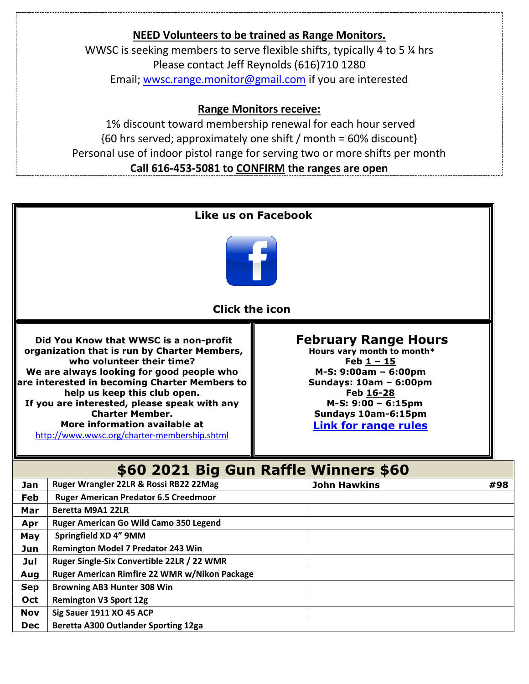## **NEED Volunteers to be trained as Range Monitors.** WWSC is seeking members to serve flexible shifts, typically 4 to 5 % hrs Please contact Jeff Reynolds (616)710 1280 Email; [wwsc.range.monitor@gmail.com](mailto:wwsc.range.monitor@gmail.com) if you are interested **Range Monitors receive:** 1% discount toward membership renewal for each hour served

{60 hrs served; approximately one shift / month = 60% discount} Personal use of indoor pistol range for serving two or more shifts per month **Call 616-453-5081 to CONFIRM the ranges are open**